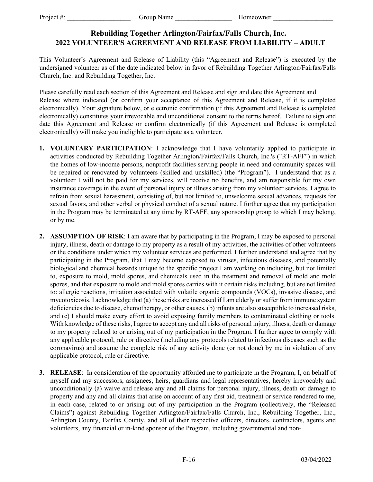## **Rebuilding Together Arlington/Fairfax/Falls Church, Inc. 2022 VOLUNTEER'S AGREEMENT AND RELEASE FROM LIABILITY – ADULT**

This Volunteer's Agreement and Release of Liability (this "Agreement and Release") is executed by the undersigned volunteer as of the date indicated below in favor of Rebuilding Together Arlington/Fairfax/Falls Church, Inc. and Rebuilding Together, Inc.

Please carefully read each section of this Agreement and Release and sign and date this Agreement and Release where indicated (or confirm your acceptance of this Agreement and Release, if it is completed electronically). Your signature below, or electronic confirmation (if this Agreement and Release is completed electronically) constitutes your irrevocable and unconditional consent to the terms hereof. Failure to sign and date this Agreement and Release or confirm electronically (if this Agreement and Release is completed electronically) will make you ineligible to participate as a volunteer.

- **1. VOLUNTARY PARTICIPATION**: I acknowledge that I have voluntarily applied to participate in activities conducted by Rebuilding Together Arlington/Fairfax/Falls Church, Inc.'s ("RT-AFF") in which the homes of low-income persons, nonprofit facilities serving people in need and community spaces will be repaired or renovated by volunteers (skilled and unskilled) (the "Program"). I understand that as a volunteer I will not be paid for my services, will receive no benefits, and am responsible for my own insurance coverage in the event of personal injury or illness arising from my volunteer services. I agree to refrain from sexual harassment, consisting of, but not limited to, unwelcome sexual advances, requests for sexual favors, and other verbal or physical conduct of a sexual nature. I further agree that my participation in the Program may be terminated at any time by RT-AFF, any sponsorship group to which I may belong, or by me.
- **2. ASSUMPTION OF RISK**: I am aware that by participating in the Program, I may be exposed to personal injury, illness, death or damage to my property as a result of my activities, the activities of other volunteers or the conditions under which my volunteer services are performed. I further understand and agree that by participating in the Program, that I may become exposed to viruses, infectious diseases, and potentially biological and chemical hazards unique to the specific project I am working on including, but not limited to, exposure to mold, mold spores, and chemicals used in the treatment and removal of mold and mold spores, and that exposure to mold and mold spores carries with it certain risks including, but are not limited to: allergic reactions, irritation associated with volatile organic compounds (VOCs), invasive disease, and mycotoxicosis. I acknowledge that (a) these risks are increased if I am elderly or suffer from immune system deficiencies due to disease, chemotherapy, or other causes, (b) infants are also susceptible to increased risks, and (c) I should make every effort to avoid exposing family members to contaminated clothing or tools. With knowledge of these risks, I agree to accept any and all risks of personal injury, illness, death or damage to my property related to or arising out of my participation in the Program. I further agree to comply with any applicable protocol, rule or directive (including any protocols related to infectious diseases such as the coronavirus) and assume the complete risk of any activity done (or not done) by me in violation of any applicable protocol, rule or directive.
- **3. RELEASE**: In consideration of the opportunity afforded me to participate in the Program, I, on behalf of myself and my successors, assignees, heirs, guardians and legal representatives, hereby irrevocably and unconditionally (a) waive and release any and all claims for personal injury, illness, death or damage to property and any and all claims that arise on account of any first aid, treatment or service rendered to me, in each case, related to or arising out of my participation in the Program (collectively, the "Released Claims") against Rebuilding Together Arlington/Fairfax/Falls Church, Inc., Rebuilding Together, Inc., Arlington County, Fairfax County, and all of their respective officers, directors, contractors, agents and volunteers, any financial or in-kind sponsor of the Program, including governmental and non-